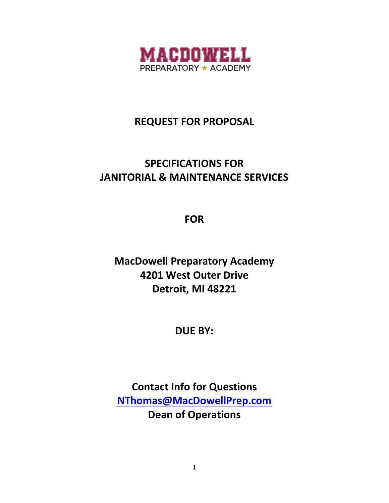

# **REQUEST FOR PROPOSAL**

# **SPECIFICATIONS FOR JANITORIAL & MAINTENANCE SERVICES**

**FOR**

**MacDowell Preparatory Academy 4201 West Outer Drive Detroit, MI 48221**

**DUE BY:**

**Contact Info for Questions [NThomas@MacDowellPrep.com](mailto:NThomas@MacDowellPrep.com) Dean of Operations**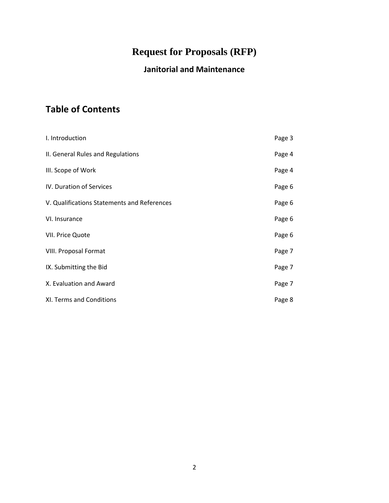# **Request for Proposals (RFP)**

## **Janitorial and Maintenance**

## **Table of Contents**

| I. Introduction                             | Page 3 |
|---------------------------------------------|--------|
| II. General Rules and Regulations           | Page 4 |
| III. Scope of Work                          | Page 4 |
| IV. Duration of Services                    | Page 6 |
| V. Qualifications Statements and References | Page 6 |
| VI. Insurance                               | Page 6 |
| VII. Price Quote                            | Page 6 |
| VIII. Proposal Format                       | Page 7 |
| IX. Submitting the Bid                      | Page 7 |
| X. Evaluation and Award                     | Page 7 |
| XI. Terms and Conditions                    | Page 8 |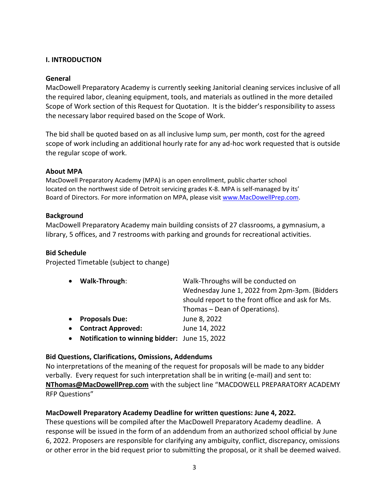#### **I. INTRODUCTION**

#### **General**

MacDowell Preparatory Academy is currently seeking Janitorial cleaning services inclusive of all the required labor, cleaning equipment, tools, and materials as outlined in the more detailed Scope of Work section of this Request for Quotation. It is the bidder's responsibility to assess the necessary labor required based on the Scope of Work.

The bid shall be quoted based on as all inclusive lump sum, per month, cost for the agreed scope of work including an additional hourly rate for any ad-hoc work requested that is outside the regular scope of work.

#### **About MPA**

MacDowell Preparatory Academy (MPA) is an open enrollment, public charter school located on the northwest side of Detroit servicing grades K-8. MPA is self-managed by its' Board of Directors. For more information on MPA, please visi[t www.MacDowellPrep.com.](http://www.macdowellprep.com/)

#### **Background**

MacDowell Preparatory Academy main building consists of 27 classrooms, a gymnasium, a library, 5 offices, and 7 restrooms with parking and grounds for recreational activities.

#### **Bid Schedule**

Projected Timetable (subject to change)

| • Walk-Through:                                 | Walk-Throughs will be conducted on<br>Wednesday June 1, 2022 from 2pm-3pm. (Bidders<br>should report to the front office and ask for Ms. |  |
|-------------------------------------------------|------------------------------------------------------------------------------------------------------------------------------------------|--|
|                                                 | Thomas – Dean of Operations).                                                                                                            |  |
| • Proposals Due:                                | June 8, 2022                                                                                                                             |  |
| • Contract Approved:                            | June 14, 2022                                                                                                                            |  |
| • Notification to winning bidder: June 15, 2022 |                                                                                                                                          |  |

#### **Bid Questions, Clarifications, Omissions, Addendums**

No interpretations of the meaning of the request for proposals will be made to any bidder verbally. Every request for such interpretation shall be in writing (e-mail) and sent to: **NThomas@MacDowellPrep.com** with the subject line "MACDOWELL PREPARATORY ACADEMY RFP Questions"

#### **MacDowell Preparatory Academy Deadline for written questions: June 4, 2022.**

These questions will be compiled after the MacDowell Preparatory Academy deadline. A response will be issued in the form of an addendum from an authorized school official by June 6, 2022. Proposers are responsible for clarifying any ambiguity, conflict, discrepancy, omissions or other error in the bid request prior to submitting the proposal, or it shall be deemed waived.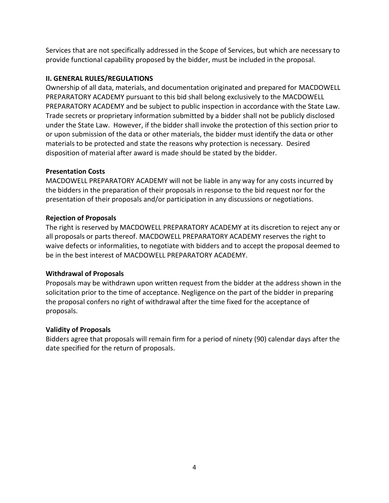Services that are not specifically addressed in the Scope of Services, but which are necessary to provide functional capability proposed by the bidder, must be included in the proposal.

#### **II. GENERAL RULES/REGULATIONS**

Ownership of all data, materials, and documentation originated and prepared for MACDOWELL PREPARATORY ACADEMY pursuant to this bid shall belong exclusively to the MACDOWELL PREPARATORY ACADEMY and be subject to public inspection in accordance with the State Law. Trade secrets or proprietary information submitted by a bidder shall not be publicly disclosed under the State Law. However, if the bidder shall invoke the protection of this section prior to or upon submission of the data or other materials, the bidder must identify the data or other materials to be protected and state the reasons why protection is necessary. Desired disposition of material after award is made should be stated by the bidder.

### **Presentation Costs**

MACDOWELL PREPARATORY ACADEMY will not be liable in any way for any costs incurred by the bidders in the preparation of their proposals in response to the bid request nor for the presentation of their proposals and/or participation in any discussions or negotiations.

### **Rejection of Proposals**

The right is reserved by MACDOWELL PREPARATORY ACADEMY at its discretion to reject any or all proposals or parts thereof. MACDOWELL PREPARATORY ACADEMY reserves the right to waive defects or informalities, to negotiate with bidders and to accept the proposal deemed to be in the best interest of MACDOWELL PREPARATORY ACADEMY.

## **Withdrawal of Proposals**

Proposals may be withdrawn upon written request from the bidder at the address shown in the solicitation prior to the time of acceptance. Negligence on the part of the bidder in preparing the proposal confers no right of withdrawal after the time fixed for the acceptance of proposals.

#### **Validity of Proposals**

Bidders agree that proposals will remain firm for a period of ninety (90) calendar days after the date specified for the return of proposals.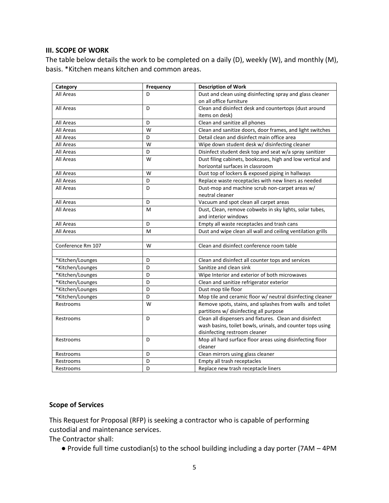#### **III. SCOPE OF WORK**

The table below details the work to be completed on a daily (D), weekly (W), and monthly (M), basis. \*Kitchen means kitchen and common areas.

| Category          | Frequency                                          | <b>Description of Work</b>                                  |  |
|-------------------|----------------------------------------------------|-------------------------------------------------------------|--|
| All Areas         | D                                                  | Dust and clean using disinfecting spray and glass cleaner   |  |
|                   |                                                    | on all office furniture                                     |  |
| All Areas         | D                                                  | Clean and disinfect desk and countertops (dust around       |  |
|                   |                                                    | items on desk)                                              |  |
| All Areas         | D                                                  | Clean and sanitize all phones                               |  |
| All Areas         | W                                                  | Clean and sanitize doors, door frames, and light switches   |  |
| All Areas         | D                                                  | Detail clean and disinfect main office area                 |  |
| All Areas         | W                                                  | Wipe down student desk w/ disinfecting cleaner              |  |
| All Areas         | D                                                  | Disinfect student desk top and seat w/a spray sanitizer     |  |
| All Areas         | W                                                  | Dust filing cabinets, bookcases, high and low vertical and  |  |
|                   |                                                    | horizontal surfaces in classroom                            |  |
| All Areas         | W                                                  | Dust top of lockers & exposed piping in hallways            |  |
| All Areas         | D                                                  | Replace waste receptacles with new liners as needed         |  |
| All Areas         | D                                                  | Dust-mop and machine scrub non-carpet areas w/              |  |
|                   |                                                    | neutral cleaner                                             |  |
| All Areas         | D                                                  | Vacuum and spot clean all carpet areas                      |  |
| All Areas         | M                                                  | Dust, Clean, remove cobwebs in sky lights, solar tubes,     |  |
|                   |                                                    | and interior windows                                        |  |
| All Areas         | D                                                  | Empty all waste receptacles and trash cans                  |  |
| All Areas         | м                                                  | Dust and wipe clean all wall and ceiling ventilation grills |  |
|                   |                                                    |                                                             |  |
| Conference Rm 107 | W                                                  | Clean and disinfect conference room table                   |  |
|                   |                                                    |                                                             |  |
| *Kitchen/Lounges  | D                                                  | Clean and disinfect all counter tops and services           |  |
| *Kitchen/Lounges  | D                                                  | Sanitize and clean sink                                     |  |
| *Kitchen/Lounges  | Wipe Interior and exterior of both microwaves<br>D |                                                             |  |
| *Kitchen/Lounges  | Clean and sanitize refrigerator exterior<br>D      |                                                             |  |
| *Kitchen/Lounges  | Dust mop tile floor<br>D                           |                                                             |  |
| *Kitchen/Lounges  | D                                                  | Mop tile and ceramic floor w/ neutral disinfecting cleaner  |  |
| Restrooms         | W                                                  | Remove spots, stains, and splashes from walls and toilet    |  |
|                   |                                                    | partitions w/ disinfecting all purpose                      |  |
| Restrooms         | D                                                  | Clean all dispensers and fixtures. Clean and disinfect      |  |
|                   |                                                    | wash basins, toilet bowls, urinals, and counter tops using  |  |
|                   |                                                    | disinfecting restroom cleaner                               |  |
| Restrooms         | D                                                  | Mop all hard surface floor areas using disinfecting floor   |  |
|                   |                                                    | cleaner                                                     |  |
| Restrooms         | D                                                  | Clean mirrors using glass cleaner                           |  |
| Restrooms         | D                                                  | Empty all trash receptacles                                 |  |
| Restrooms         | D                                                  | Replace new trash receptacle liners                         |  |

#### **Scope of Services**

This Request for Proposal (RFP) is seeking a contractor who is capable of performing custodial and maintenance services.

The Contractor shall:

● Provide full time custodian(s) to the school building including a day porter (7AM – 4PM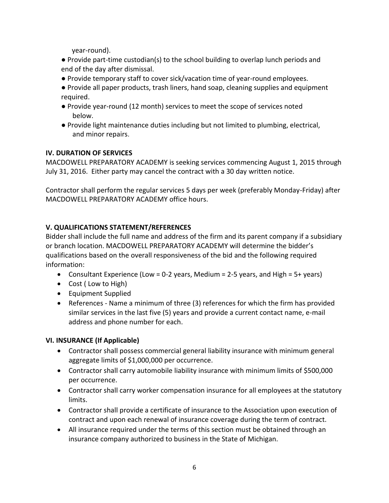year-round).

- Provide part-time custodian(s) to the school building to overlap lunch periods and end of the day after dismissal.
- Provide temporary staff to cover sick/vacation time of year-round employees.
- Provide all paper products, trash liners, hand soap, cleaning supplies and equipment required.
- Provide year-round (12 month) services to meet the scope of services noted below.
- Provide light maintenance duties including but not limited to plumbing, electrical, and minor repairs.

## **IV. DURATION OF SERVICES**

MACDOWELL PREPARATORY ACADEMY is seeking services commencing August 1, 2015 through July 31, 2016. Either party may cancel the contract with a 30 day written notice.

Contractor shall perform the regular services 5 days per week (preferably Monday-Friday) after MACDOWELL PREPARATORY ACADEMY office hours.

## **V. QUALIFICATIONS STATEMENT/REFERENCES**

Bidder shall include the full name and address of the firm and its parent company if a subsidiary or branch location. MACDOWELL PREPARATORY ACADEMY will determine the bidder's qualifications based on the overall responsiveness of the bid and the following required information:

- Consultant Experience (Low = 0-2 years, Medium = 2-5 years, and High = 5+ years)
- Cost ( Low to High)
- Equipment Supplied
- References Name a minimum of three (3) references for which the firm has provided similar services in the last five (5) years and provide a current contact name, e-mail address and phone number for each.

## **VI. INSURANCE (If Applicable)**

- Contractor shall possess commercial general liability insurance with minimum general aggregate limits of \$1,000,000 per occurrence.
- Contractor shall carry automobile liability insurance with minimum limits of \$500,000 per occurrence.
- Contractor shall carry worker compensation insurance for all employees at the statutory limits.
- Contractor shall provide a certificate of insurance to the Association upon execution of contract and upon each renewal of insurance coverage during the term of contract.
- All insurance required under the terms of this section must be obtained through an insurance company authorized to business in the State of Michigan.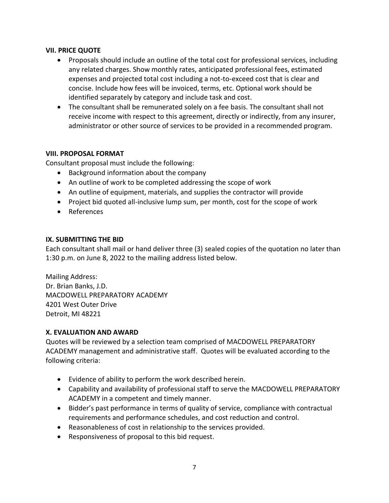#### **VII. PRICE QUOTE**

- Proposals should include an outline of the total cost for professional services, including any related charges. Show monthly rates, anticipated professional fees, estimated expenses and projected total cost including a not-to-exceed cost that is clear and concise. Include how fees will be invoiced, terms, etc. Optional work should be identified separately by category and include task and cost.
- The consultant shall be remunerated solely on a fee basis. The consultant shall not receive income with respect to this agreement, directly or indirectly, from any insurer, administrator or other source of services to be provided in a recommended program.

#### **VIII. PROPOSAL FORMAT**

Consultant proposal must include the following:

- Background information about the company
- An outline of work to be completed addressing the scope of work
- An outline of equipment, materials, and supplies the contractor will provide
- Project bid quoted all-inclusive lump sum, per month, cost for the scope of work
- References

#### **IX. SUBMITTING THE BID**

Each consultant shall mail or hand deliver three (3) sealed copies of the quotation no later than 1:30 p.m. on June 8, 2022 to the mailing address listed below.

Mailing Address: Dr. Brian Banks, J.D. MACDOWELL PREPARATORY ACADEMY 4201 West Outer Drive Detroit, MI 48221

#### **X. EVALUATION AND AWARD**

Quotes will be reviewed by a selection team comprised of MACDOWELL PREPARATORY ACADEMY management and administrative staff. Quotes will be evaluated according to the following criteria:

- Evidence of ability to perform the work described herein.
- Capability and availability of professional staff to serve the MACDOWELL PREPARATORY ACADEMY in a competent and timely manner.
- Bidder's past performance in terms of quality of service, compliance with contractual requirements and performance schedules, and cost reduction and control.
- Reasonableness of cost in relationship to the services provided.
- Responsiveness of proposal to this bid request.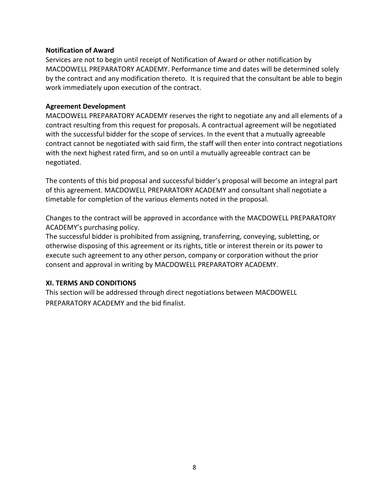#### **Notification of Award**

Services are not to begin until receipt of Notification of Award or other notification by MACDOWELL PREPARATORY ACADEMY. Performance time and dates will be determined solely by the contract and any modification thereto. It is required that the consultant be able to begin work immediately upon execution of the contract.

#### **Agreement Development**

MACDOWELL PREPARATORY ACADEMY reserves the right to negotiate any and all elements of a contract resulting from this request for proposals. A contractual agreement will be negotiated with the successful bidder for the scope of services. In the event that a mutually agreeable contract cannot be negotiated with said firm, the staff will then enter into contract negotiations with the next highest rated firm, and so on until a mutually agreeable contract can be negotiated.

The contents of this bid proposal and successful bidder's proposal will become an integral part of this agreement. MACDOWELL PREPARATORY ACADEMY and consultant shall negotiate a timetable for completion of the various elements noted in the proposal.

Changes to the contract will be approved in accordance with the MACDOWELL PREPARATORY ACADEMY's purchasing policy.

The successful bidder is prohibited from assigning, transferring, conveying, subletting, or otherwise disposing of this agreement or its rights, title or interest therein or its power to execute such agreement to any other person, company or corporation without the prior consent and approval in writing by MACDOWELL PREPARATORY ACADEMY.

#### **XI. TERMS AND CONDITIONS**

This section will be addressed through direct negotiations between MACDOWELL PREPARATORY ACADEMY and the bid finalist.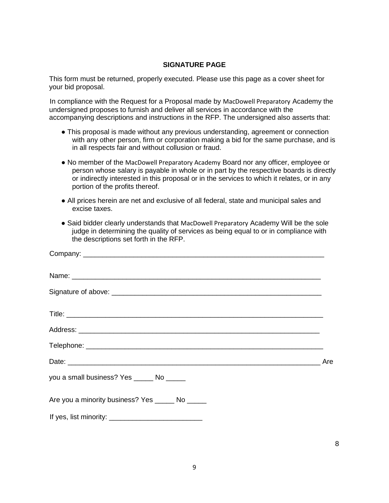#### **SIGNATURE PAGE**

This form must be returned, properly executed. Please use this page as a cover sheet for your bid proposal.

In compliance with the Request for a Proposal made by MacDowell Preparatory Academy the undersigned proposes to furnish and deliver all services in accordance with the accompanying descriptions and instructions in the RFP. The undersigned also asserts that:

- This proposal is made without any previous understanding, agreement or connection with any other person, firm or corporation making a bid for the same purchase, and is in all respects fair and without collusion or fraud.
- No member of the MacDowell Preparatory Academy Board nor any officer, employee or person whose salary is payable in whole or in part by the respective boards is directly or indirectly interested in this proposal or in the services to which it relates, or in any portion of the profits thereof.
- All prices herein are net and exclusive of all federal, state and municipal sales and excise taxes.
- Said bidder clearly understands that MacDowell Preparatory Academy Will be the sole judge in determining the quality of services as being equal to or in compliance with the descriptions set forth in the RFP.

| you a small business? Yes ______ No ______       |  |
|--------------------------------------------------|--|
| Are you a minority business? Yes ______ No _____ |  |
|                                                  |  |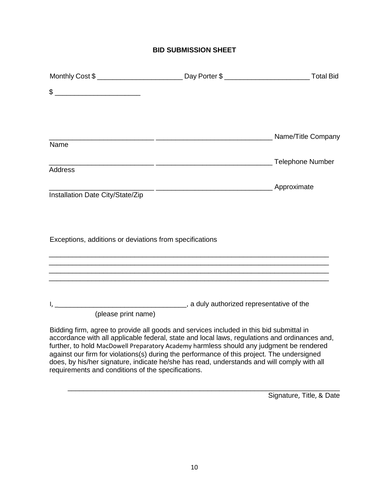## **BID SUBMISSION SHEET**

|                                                                                                                                                                                                                                                                                                                                                                                                                                                                                                                                       | Day Porter \$ | <b>Total Bid</b>                         |
|---------------------------------------------------------------------------------------------------------------------------------------------------------------------------------------------------------------------------------------------------------------------------------------------------------------------------------------------------------------------------------------------------------------------------------------------------------------------------------------------------------------------------------------|---------------|------------------------------------------|
| $\frac{1}{2}$ $\frac{1}{2}$ $\frac{1}{2}$ $\frac{1}{2}$ $\frac{1}{2}$ $\frac{1}{2}$ $\frac{1}{2}$ $\frac{1}{2}$ $\frac{1}{2}$ $\frac{1}{2}$ $\frac{1}{2}$ $\frac{1}{2}$ $\frac{1}{2}$ $\frac{1}{2}$ $\frac{1}{2}$ $\frac{1}{2}$ $\frac{1}{2}$ $\frac{1}{2}$ $\frac{1}{2}$ $\frac{1}{2}$ $\frac{1}{2}$ $\frac{1}{2}$                                                                                                                                                                                                                   |               |                                          |
|                                                                                                                                                                                                                                                                                                                                                                                                                                                                                                                                       |               |                                          |
| Name                                                                                                                                                                                                                                                                                                                                                                                                                                                                                                                                  |               |                                          |
| <b>Address</b>                                                                                                                                                                                                                                                                                                                                                                                                                                                                                                                        |               | <b>Telephone Number</b> Telephone Number |
|                                                                                                                                                                                                                                                                                                                                                                                                                                                                                                                                       |               |                                          |
| Installation Date City/State/Zip                                                                                                                                                                                                                                                                                                                                                                                                                                                                                                      |               |                                          |
| Exceptions, additions or deviations from specifications                                                                                                                                                                                                                                                                                                                                                                                                                                                                               |               |                                          |
| (please print name)                                                                                                                                                                                                                                                                                                                                                                                                                                                                                                                   |               |                                          |
| Bidding firm, agree to provide all goods and services included in this bid submittal in<br>accordance with all applicable federal, state and local laws, regulations and ordinances and,<br>further, to hold MacDowell Preparatory Academy harmless should any judgment be rendered<br>against our firm for violations(s) during the performance of this project. The undersigned<br>does, by his/her signature, indicate he/she has read, understands and will comply with all<br>requirements and conditions of the specifications. |               |                                          |

Signature, Title, & Date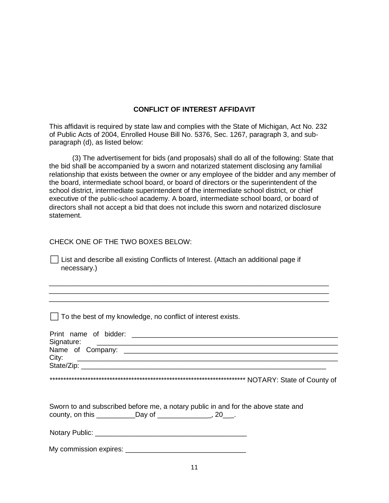#### **CONFLICT OF INTEREST AFFIDAVIT**

This affidavit is required by state law and complies with the State of Michigan, Act No. 232 of Public Acts of 2004, Enrolled House Bill No. 5376, Sec. 1267, paragraph 3, and subparagraph (d), as listed below:

(3) The advertisement for bids (and proposals) shall do all of the following: State that the bid shall be accompanied by a sworn and notarized statement disclosing any familial relationship that exists between the owner or any employee of the bidder and any member of the board, intermediate school board, or board of directors or the superintendent of the school district, intermediate superintendent of the intermediate school district, or chief executive of the public-school academy. A board, intermediate school board, or board of directors shall not accept a bid that does not include this sworn and notarized disclosure statement.

#### CHECK ONE OF THE TWO BOXES BELOW:

 $\Box$  List and describe all existing Conflicts of Interest. (Attach an additional page if necessary.)

\_\_\_\_\_\_\_\_\_\_\_\_\_\_\_\_\_\_\_\_\_\_\_\_\_\_\_\_\_\_\_\_\_\_\_\_\_\_\_\_\_\_\_\_\_\_\_\_\_\_\_\_\_\_\_\_\_\_\_\_\_\_\_\_\_\_\_\_\_\_\_\_ \_\_\_\_\_\_\_\_\_\_\_\_\_\_\_\_\_\_\_\_\_\_\_\_\_\_\_\_\_\_\_\_\_\_\_\_\_\_\_\_\_\_\_\_\_\_\_\_\_\_\_\_\_\_\_\_\_\_\_\_\_\_\_\_\_\_\_\_\_\_\_\_ \_\_\_\_\_\_\_\_\_\_\_\_\_\_\_\_\_\_\_\_\_\_\_\_\_\_\_\_\_\_\_\_\_\_\_\_\_\_\_\_\_\_\_\_\_\_\_\_\_\_\_\_\_\_\_\_\_\_\_\_\_\_\_\_\_\_\_\_\_\_\_\_

⬜ To the best of my knowledge, no conflict of interest exists.

| Signature:<br><u> 1989 - Jan Barbara, martxa al III-lea (h. 1989).</u>            |
|-----------------------------------------------------------------------------------|
|                                                                                   |
| City:                                                                             |
|                                                                                   |
|                                                                                   |
|                                                                                   |
|                                                                                   |
| Sworn to and subscribed before me, a notary public in and for the above state and |
|                                                                                   |
|                                                                                   |
|                                                                                   |
|                                                                                   |
|                                                                                   |